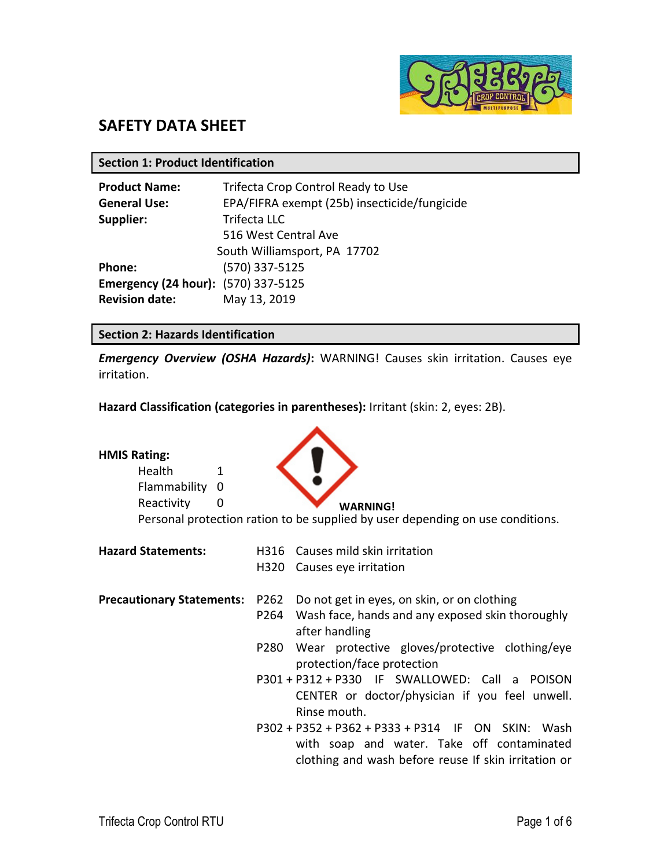

# **SAFETY DATA SHEET**

**Section 1: Product Identification**

| <b>Product Name:</b>                       | Trifecta Crop Control Ready to Use           |  |  |  |  |
|--------------------------------------------|----------------------------------------------|--|--|--|--|
| <b>General Use:</b>                        | EPA/FIFRA exempt (25b) insecticide/fungicide |  |  |  |  |
| Supplier:                                  | <b>Trifecta LLC</b>                          |  |  |  |  |
|                                            | 516 West Central Ave                         |  |  |  |  |
|                                            | South Williamsport, PA 17702                 |  |  |  |  |
| Phone:                                     | (570) 337-5125                               |  |  |  |  |
| <b>Emergency (24 hour):</b> (570) 337-5125 |                                              |  |  |  |  |
| <b>Revision date:</b>                      | May 13, 2019                                 |  |  |  |  |

## **Section 2: Hazards Identification**

*Emergency Overview (OSHA Hazards)***:** WARNING! Causes skin irritation. Causes eye irritation.

**Hazard Classification (categories in parentheses):** Irritant (skin: 2, eyes: 2B).

 $\mathbf{A}$ 

| <b>HMIS Rating:</b><br><b>Health</b><br>Flammability<br>Reactivity | 1<br>0<br>0 | <b>WARNING!</b><br>Personal protection ration to be supplied by user depending on use conditions.  |
|--------------------------------------------------------------------|-------------|----------------------------------------------------------------------------------------------------|
| <b>Hazard Statements:</b>                                          |             | H316 Causes mild skin irritation                                                                   |
|                                                                    | H320        | Causes eye irritation                                                                              |
| <b>Precautionary Statements:</b>                                   |             | P262 Do not get in eyes, on skin, or on clothing                                                   |
|                                                                    |             | P264 Wash face, hands and any exposed skin thoroughly<br>after handling                            |
|                                                                    | P280        | Wear protective gloves/protective clothing/eye<br>protection/face protection                       |
|                                                                    |             | P301 + P312 + P330 IF SWALLOWED: Call a POISON                                                     |
|                                                                    |             | CENTER or doctor/physician if you feel unwell.                                                     |
|                                                                    |             | Rinse mouth.<br>P302 + P352 + P362 + P333 + P314 IF ON SKIN: Wash                                  |
|                                                                    |             | with soap and water. Take off contaminated<br>clothing and wash before reuse If skin irritation or |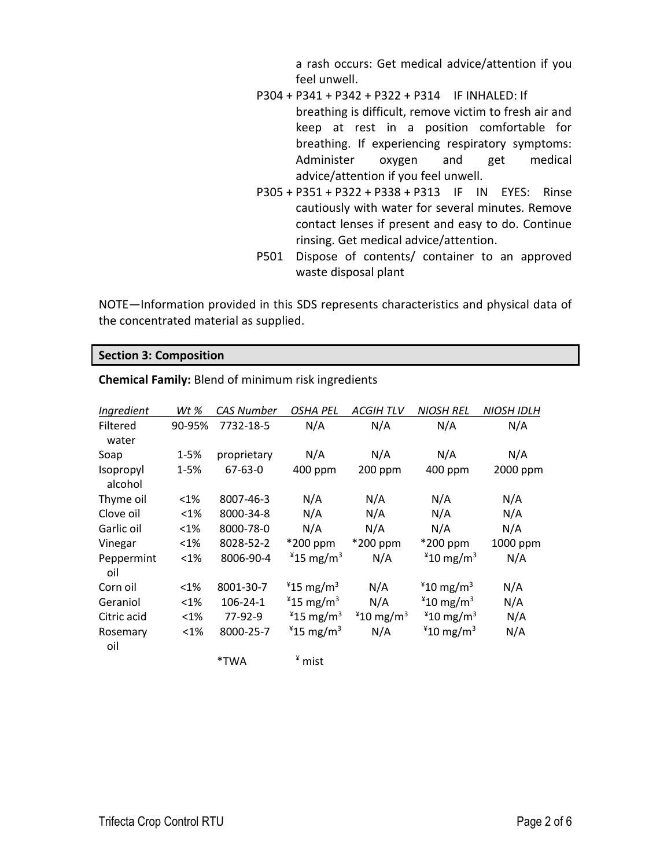a rash occurs: Get medical advice/attention if you feel unwell.

- P304 + P341 + P342 + P322 + P314 IF INHALED: If breathing is difficult, remove victim to fresh air and keep at rest in a position comfortable for breathing. If experiencing respiratory symptoms: Administer oxygen and get medical advice/attention if you feel unwell.
- P305 + P351 + P322 + P338 + P313 IF IN EYES: Rinse cautiously with water for several minutes. Remove contact lenses if present and easy to do. Continue rinsing. Get medical advice/attention.
- P501 Dispose of contents/ container to an approved waste disposal plant

NOTE—Information provided in this SDS represents characteristics and physical data of the concentrated material as supplied.

## **Section 3: Composition**

| Ingredient           | Wt %     | <b>CAS Number</b> | <b>OSHA PEL</b>         | <b>ACGIHTLV</b>      | <b>NIOSH REL</b>        | <b>NIOSH IDLH</b> |
|----------------------|----------|-------------------|-------------------------|----------------------|-------------------------|-------------------|
| Filtered<br>water    | 90-95%   | 7732-18-5         | N/A                     | N/A                  | N/A                     | N/A               |
| Soap                 | $1 - 5%$ | proprietary       | N/A                     | N/A                  | N/A                     | N/A               |
| Isopropyl<br>alcohol | $1 - 5%$ | $67 - 63 - 0$     | 400 ppm                 | 200 ppm              | 400 ppm                 | 2000 ppm          |
| Thyme oil            | $<$ 1%   | 8007-46-3         | N/A                     | N/A                  | N/A                     | N/A               |
| Clove oil            | $<$ 1%   | 8000-34-8         | N/A                     | N/A                  | N/A                     | N/A               |
| Garlic oil           | $<$ 1%   | 8000-78-0         | N/A                     | N/A                  | N/A                     | N/A               |
| Vinegar              | $<$ 1%   | 8028-52-2         | *200 ppm                | *200 ppm             | *200 ppm                | 1000 ppm          |
| Peppermint<br>oil    | $< 1\%$  | 8006-90-4         | $*15$ mg/m <sup>3</sup> | N/A                  | $*10$ mg/m <sup>3</sup> | N/A               |
| Corn oil             | $<$ 1%   | 8001-30-7         | $*15$ mg/m <sup>3</sup> | N/A                  | $*10$ mg/m <sup>3</sup> | N/A               |
| Geraniol             | $< 1\%$  | 106-24-1          | $*15$ mg/m <sup>3</sup> | N/A                  | $*10$ mg/m <sup>3</sup> | N/A               |
| Citric acid          | $< 1\%$  | 77-92-9           | $*15$ mg/m <sup>3</sup> | $*10 \text{ mg/m}^3$ | $*10$ mg/m <sup>3</sup> | N/A               |
| Rosemary<br>oil      | $< 1\%$  | 8000-25-7         | $*15$ mg/m <sup>3</sup> | N/A                  | $*10 \; \text{mg/m}^3$  | N/A               |
|                      |          | *TWA              | <sup>¥</sup> mist       |                      |                         |                   |

**Chemical Family:** Blend of minimum risk ingredients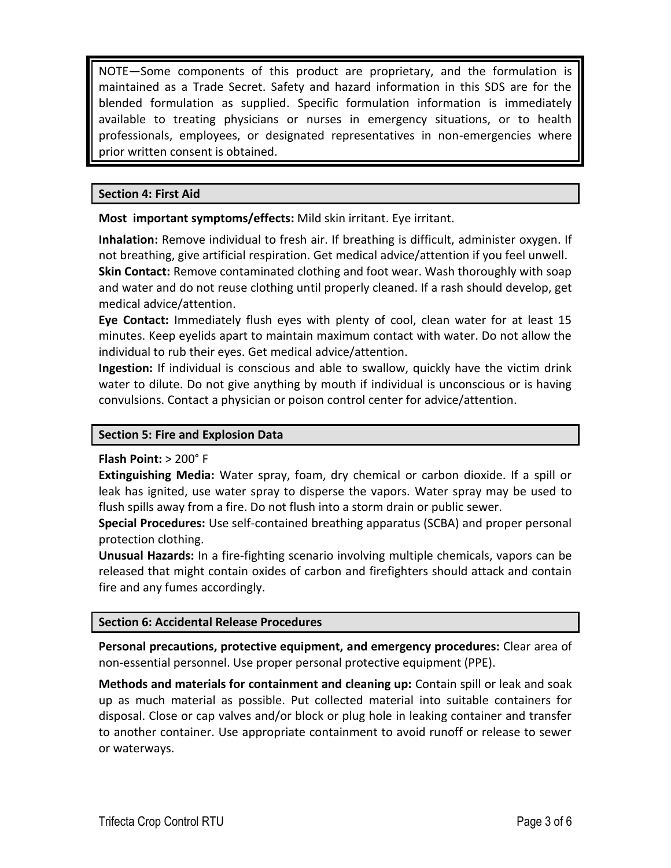NOTE—Some components of this product are proprietary, and the formulation is maintained as a Trade Secret. Safety and hazard information in this SDS are for the blended formulation as supplied. Specific formulation information is immediately available to treating physicians or nurses in emergency situations, or to health professionals, employees, or designated representatives in non-emergencies where prior written consent is obtained.

## **Section 4: First Aid**

**Most important symptoms/effects:** Mild skin irritant. Eye irritant.

**Inhalation:** Remove individual to fresh air. If breathing is difficult, administer oxygen. If not breathing, give artificial respiration. Get medical advice/attention if you feel unwell. **Skin Contact:** Remove contaminated clothing and foot wear. Wash thoroughly with soap and water and do not reuse clothing until properly cleaned. If a rash should develop, get medical advice/attention.

**Eye Contact:** Immediately flush eyes with plenty of cool, clean water for at least 15 minutes. Keep eyelids apart to maintain maximum contact with water. Do not allow the individual to rub their eyes. Get medical advice/attention.

**Ingestion:** If individual is conscious and able to swallow, quickly have the victim drink water to dilute. Do not give anything by mouth if individual is unconscious or is having convulsions. Contact a physician or poison control center for advice/attention.

## **Section 5: Fire and Explosion Data**

#### **Flash Point:** > 200° F

**Extinguishing Media:** Water spray, foam, dry chemical or carbon dioxide. If a spill or leak has ignited, use water spray to disperse the vapors. Water spray may be used to flush spills away from a fire. Do not flush into a storm drain or public sewer.

**Special Procedures:** Use self-contained breathing apparatus (SCBA) and proper personal protection clothing.

**Unusual Hazards:** In a fire-fighting scenario involving multiple chemicals, vapors can be released that might contain oxides of carbon and firefighters should attack and contain fire and any fumes accordingly.

#### **Section 6: Accidental Release Procedures**

**Personal precautions, protective equipment, and emergency procedures:** Clear area of non-essential personnel. Use proper personal protective equipment (PPE).

**Methods and materials for containment and cleaning up:** Contain spill or leak and soak up as much material as possible. Put collected material into suitable containers for disposal. Close or cap valves and/or block or plug hole in leaking container and transfer to another container. Use appropriate containment to avoid runoff or release to sewer or waterways.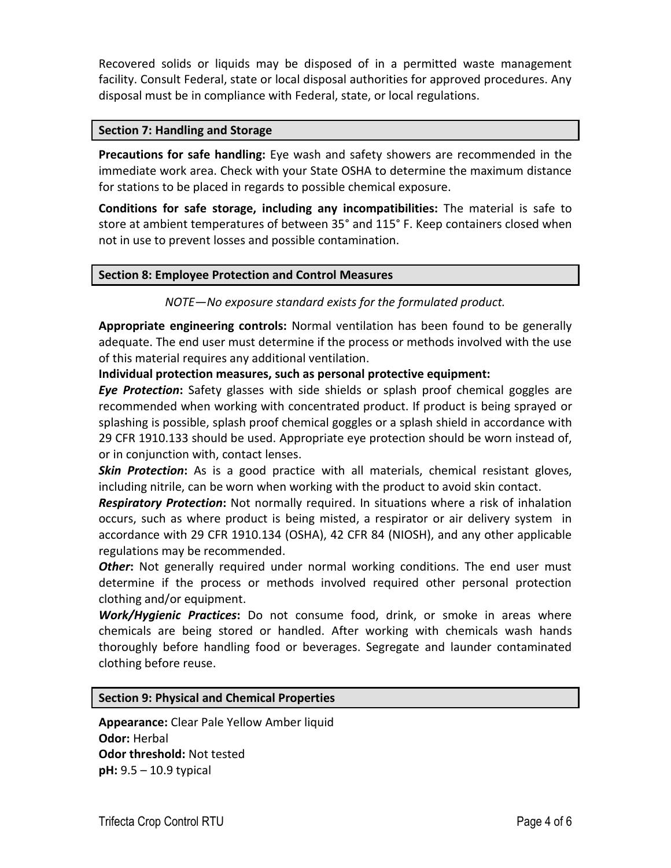Recovered solids or liquids may be disposed of in a permitted waste management facility. Consult Federal, state or local disposal authorities for approved procedures. Any disposal must be in compliance with Federal, state, or local regulations.

## **Section 7: Handling and Storage**

**Precautions for safe handling:** Eye wash and safety showers are recommended in the immediate work area. Check with your State OSHA to determine the maximum distance for stations to be placed in regards to possible chemical exposure.

**Conditions for safe storage, including any incompatibilities:** The material is safe to store at ambient temperatures of between 35° and 115° F. Keep containers closed when not in use to prevent losses and possible contamination.

## **Section 8: Employee Protection and Control Measures**

*NOTE—No exposure standard exists for the formulated product.*

**Appropriate engineering controls:** Normal ventilation has been found to be generally adequate. The end user must determine if the process or methods involved with the use of this material requires any additional ventilation.

## **Individual protection measures, such as personal protective equipment:**

*Eye Protection***:** Safety glasses with side shields or splash proof chemical goggles are recommended when working with concentrated product. If product is being sprayed or splashing is possible, splash proof chemical goggles or a splash shield in accordance with 29 CFR 1910.133 should be used. Appropriate eye protection should be worn instead of, or in conjunction with, contact lenses.

*Skin Protection***:** As is a good practice with all materials, chemical resistant gloves, including nitrile, can be worn when working with the product to avoid skin contact.

*Respiratory Protection***:** Not normally required. In situations where a risk of inhalation occurs, such as where product is being misted, a respirator or air delivery system in accordance with 29 CFR 1910.134 (OSHA), 42 CFR 84 (NIOSH), and any other applicable regulations may be recommended.

*Other***:** Not generally required under normal working conditions. The end user must determine if the process or methods involved required other personal protection clothing and/or equipment.

*Work/Hygienic Practices***:** Do not consume food, drink, or smoke in areas where chemicals are being stored or handled. After working with chemicals wash hands thoroughly before handling food or beverages. Segregate and launder contaminated clothing before reuse.

## **Section 9: Physical and Chemical Properties**

**Appearance:** Clear Pale Yellow Amber liquid **Odor:** Herbal **Odor threshold:** Not tested **pH:** 9.5 – 10.9 typical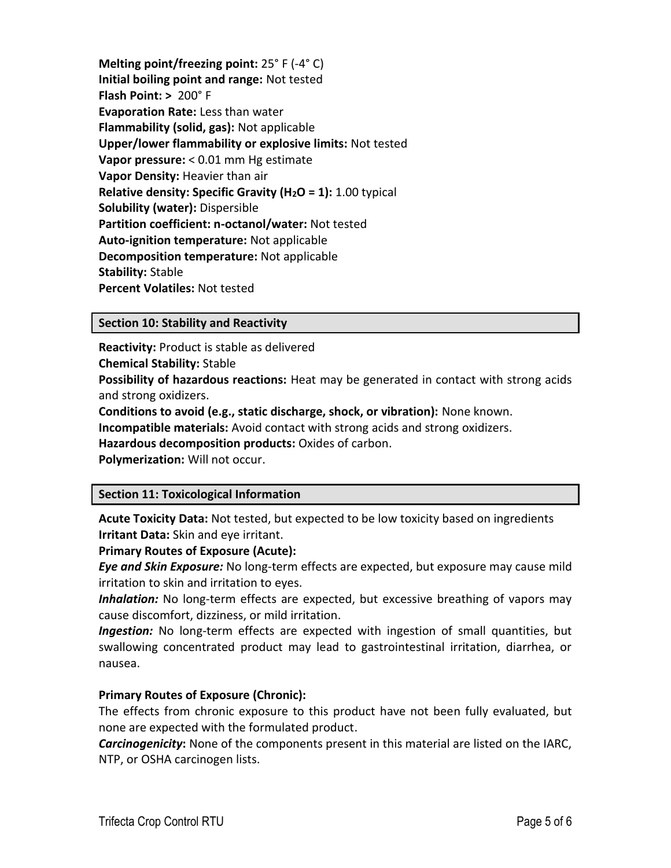**Melting point/freezing point:** 25° F (-4° C) **Initial boiling point and range:** Not tested **Flash Point: >** 200° F **Evaporation Rate:** Less than water **Flammability (solid, gas):** Not applicable **Upper/lower flammability or explosive limits:** Not tested **Vapor pressure:** < 0.01 mm Hg estimate **Vapor Density:** Heavier than air **Relative density: Specific Gravity (H2O = 1):** 1.00 typical **Solubility (water):** Dispersible **Partition coefficient: n-octanol/water:** Not tested **Auto-ignition temperature:** Not applicable **Decomposition temperature:** Not applicable **Stability:** Stable **Percent Volatiles:** Not tested

## **Section 10: Stability and Reactivity**

**Reactivity:** Product is stable as delivered **Chemical Stability:** Stable **Possibility of hazardous reactions:** Heat may be generated in contact with strong acids and strong oxidizers.

**Conditions to avoid (e.g., static discharge, shock, or vibration):** None known.

**Incompatible materials:** Avoid contact with strong acids and strong oxidizers.

**Hazardous decomposition products:** Oxides of carbon.

**Polymerization:** Will not occur.

## **Section 11: Toxicological Information**

**Acute Toxicity Data:** Not tested, but expected to be low toxicity based on ingredients **Irritant Data:** Skin and eye irritant.

#### **Primary Routes of Exposure (Acute):**

*Eye and Skin Exposure:* No long-term effects are expected, but exposure may cause mild irritation to skin and irritation to eyes.

*Inhalation:* No long-term effects are expected, but excessive breathing of vapors may cause discomfort, dizziness, or mild irritation.

*Ingestion:* No long-term effects are expected with ingestion of small quantities, but swallowing concentrated product may lead to gastrointestinal irritation, diarrhea, or nausea.

## **Primary Routes of Exposure (Chronic):**

The effects from chronic exposure to this product have not been fully evaluated, but none are expected with the formulated product.

*Carcinogenicity***:** None of the components present in this material are listed on the IARC, NTP, or OSHA carcinogen lists.